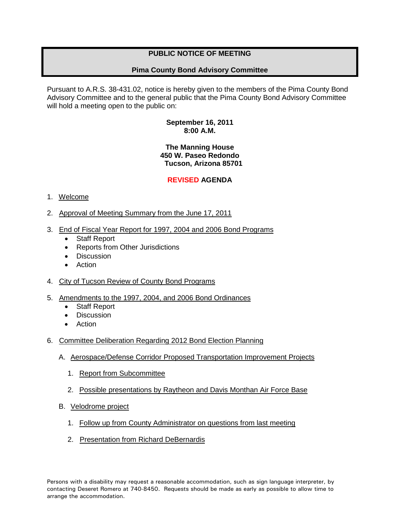# **PUBLIC NOTICE OF MEETING**

## **Pima County Bond Advisory Committee**

Pursuant to A.R.S. 38-431.02, notice is hereby given to the members of the Pima County Bond Advisory Committee and to the general public that the Pima County Bond Advisory Committee will hold a meeting open to the public on:

#### **September 16, 2011 8:00 A.M.**

### **The Manning House 450 W. Paseo Redondo Tucson, Arizona 85701**

## **REVISED AGENDA**

### 1. Welcome

- 2. Approval of Meeting Summary from the June 17, 2011
- 3. End of Fiscal Year Report for 1997, 2004 and 2006 Bond Programs
	- Staff Report
	- Reports from Other Jurisdictions
	- Discussion
	- **Action**
- 4. City of Tucson Review of County Bond Programs
- 5. Amendments to the 1997, 2004, and 2006 Bond Ordinances
	- Staff Report
	- Discussion
	- Action
- 6. Committee Deliberation Regarding 2012 Bond Election Planning
	- A. Aerospace/Defense Corridor Proposed Transportation Improvement Projects
		- 1. Report from Subcommittee
		- 2. Possible presentations by Raytheon and Davis Monthan Air Force Base
	- B. Velodrome project
		- 1. Follow up from County Administrator on questions from last meeting
		- 2. Presentation from Richard DeBernardis

Persons with a disability may request a reasonable accommodation, such as sign language interpreter, by contacting Deseret Romero at 740-8450. Requests should be made as early as possible to allow time to arrange the accommodation.